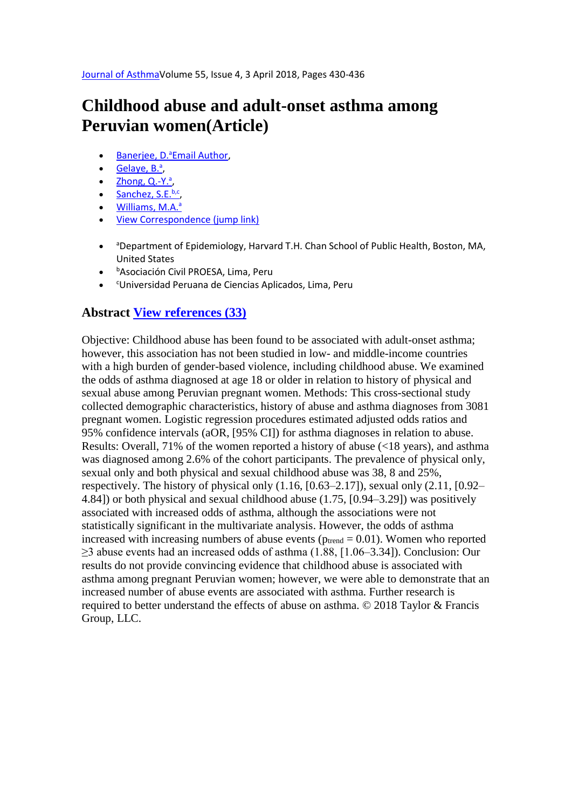# **Childhood abuse and adult-onset asthma among Peruvian women(Article)**

- [Banerjee, D.](https://www.scopus.com/authid/detail.uri?authorId=57195634005&eid=2-s2.0-85029446768)<sup>a</sup>[Email Author,](mailto:dib606@mail.harvard.edu)
- [Gelaye, B.](https://www.scopus.com/authid/detail.uri?authorId=24477219000&eid=2-s2.0-85029446768)<sup>a</sup>,
- $\mathsf{Zhong}, \mathsf{Q.-Y.}^a$
- $\bullet$  [Sanchez, S.E.](https://www.scopus.com/authid/detail.uri?authorId=7202745629&eid=2-s2.0-85029446768)b,c
- $\bullet$  [Williams, M.A.](https://www.scopus.com/authid/detail.uri?authorId=57203332680&eid=2-s2.0-85029446768) $\rm{a}$
- [View Correspondence \(jump link\)](https://www.scopus.com/record/display.uri?eid=2-s2.0-85029446768&origin=resultslist&sort=cp-f&src=s&st1=10.1080%2f02770903.2017.1339243&st2=&sid=ef33f01a10a017f935252d03f5fa6b33&sot=b&sdt=b&sl=34&s=DOI%2810.1080%2f02770903.2017.1339243%29&relpos=0&citeCnt=0&searchTerm=#corrAuthorFooter)
- aDepartment of Epidemiology, Harvard T.H. Chan School of Public Health, Boston, MA, United States
- <sup>b</sup>Asociación Civil PROESA, Lima, Peru
- <sup>c</sup>Universidad Peruana de Ciencias Aplicados, Lima, Peru

## **Abstract [View references \(33\)](https://www.scopus.com/record/display.uri?eid=2-s2.0-85029446768&origin=resultslist&sort=cp-f&src=s&st1=10.1080%2f02770903.2017.1339243&st2=&sid=ef33f01a10a017f935252d03f5fa6b33&sot=b&sdt=b&sl=34&s=DOI%2810.1080%2f02770903.2017.1339243%29&relpos=0&citeCnt=0&searchTerm=#references)**

Objective: Childhood abuse has been found to be associated with adult-onset asthma; however, this association has not been studied in low- and middle-income countries with a high burden of gender-based violence, including childhood abuse. We examined the odds of asthma diagnosed at age 18 or older in relation to history of physical and sexual abuse among Peruvian pregnant women. Methods: This cross-sectional study collected demographic characteristics, history of abuse and asthma diagnoses from 3081 pregnant women. Logistic regression procedures estimated adjusted odds ratios and 95% confidence intervals (aOR, [95% CI]) for asthma diagnoses in relation to abuse. Results: Overall, 71% of the women reported a history of abuse (<18 years), and asthma was diagnosed among 2.6% of the cohort participants. The prevalence of physical only, sexual only and both physical and sexual childhood abuse was 38, 8 and 25%, respectively. The history of physical only (1.16, [0.63–2.17]), sexual only (2.11, [0.92– 4.84]) or both physical and sexual childhood abuse (1.75, [0.94–3.29]) was positively associated with increased odds of asthma, although the associations were not statistically significant in the multivariate analysis. However, the odds of asthma increased with increasing numbers of abuse events ( $p_{\text{trend}} = 0.01$ ). Women who reported ≥3 abuse events had an increased odds of asthma (1.88, [1.06–3.34]). Conclusion: Our results do not provide convincing evidence that childhood abuse is associated with asthma among pregnant Peruvian women; however, we were able to demonstrate that an increased number of abuse events are associated with asthma. Further research is required to better understand the effects of abuse on asthma. © 2018 Taylor & Francis Group, LLC.